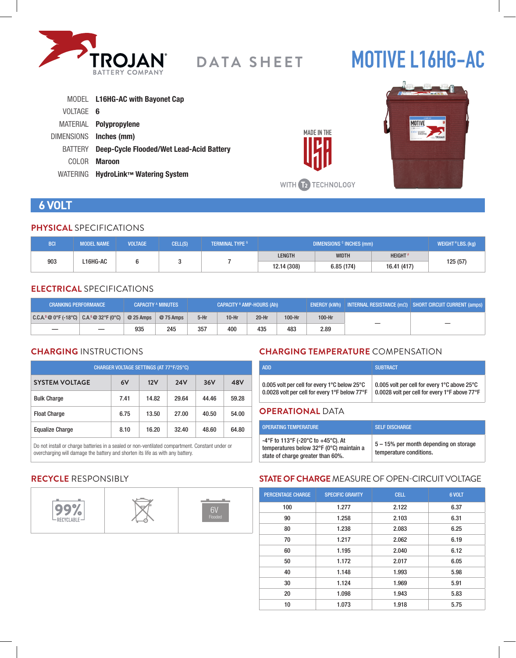

# **MOTIVE L16HG-AC**

|                | MODEL L16HG-AC with Bayonet Cap          |
|----------------|------------------------------------------|
| VOLTAGE 6      |                                          |
|                | MATERIAL <b>Polypropylene</b>            |
|                | DIMENSIONS Inches (mm)                   |
| <b>BATTERY</b> | Deep-Cycle Flooded/Wet Lead-Acid Battery |
| COLOR.         | <b>Maroon</b>                            |
| WATERING       | HydroLink™ Watering System               |



# **6 VOLT**

#### **PHYSICAL** SPECIFICATIONS

| <b>BCI</b>      | <b>MODEL NAME</b> | <b>VOLTAGE</b> | CELL(S)     | <b>TERMINAL TYPE G</b> | DIMENSIONS <sup>c</sup> INCHES (mm) |               |  | WEIGHT <sup>H</sup> LBS. (kg) |
|-----------------|-------------------|----------------|-------------|------------------------|-------------------------------------|---------------|--|-------------------------------|
| 903<br>L16HG-AC |                   |                |             | <b>LENGTH</b>          | <b>WIDTH</b>                        | <b>HEIGHT</b> |  |                               |
|                 |                   |                | 12.14 (308) | 6.85(174)              | 16.41 (417)                         | 125 (57)      |  |                               |

#### **ELECTRICAL** SPECIFICATIONS

| <b>CRANKING PERFORMANCE</b>               |            | <b>CAPACITY A MINUTES</b> | <b>CAPACITY <sup>B</sup> AMP-HOURS (Ah)</b> |         |         |        | ENERGY (kWh)   INTERNAL RESISTANCE (mΩ)   SHORT CIRCUIT CURRENT (amps) |   |  |
|-------------------------------------------|------------|---------------------------|---------------------------------------------|---------|---------|--------|------------------------------------------------------------------------|---|--|
| $ C.C.A.^0@0°F(-18°C)  C.A.^E@32°F(0°C) $ | $@25$ Amps | @ 75 Amps                 | $5-Hr$                                      | $10-Hr$ | $20-Hr$ | 100-Hr | 100-Hr                                                                 |   |  |
|                                           | 935        | 245                       | 357                                         | 400     | 435     | 483    | 2.89                                                                   | — |  |

# **CHARGING** INSTRUCTIONS

| CHARGER VOLTAGE SETTINGS (AT 77°F/25°C) |      |       |            |       |       |  |  |
|-----------------------------------------|------|-------|------------|-------|-------|--|--|
| <b>SYSTEM VOLTAGE</b>                   | 6V   | 12V   | <b>24V</b> | 36V   | 48V   |  |  |
| <b>Bulk Charge</b>                      | 7.41 | 14.82 | 29.64      | 44.46 | 59.28 |  |  |
| <b>Float Charge</b>                     | 6.75 | 13.50 | 27.00      | 40.50 | 54.00 |  |  |
| <b>Equalize Charge</b>                  | 8.10 | 16.20 | 32.40      | 48.60 | 64.80 |  |  |

Do not install or charge batteries in a sealed or non-ventilated compartment. Constant under or overcharging will damage the battery and shorten its life as with any battery.

# **CHARGING TEMPERATURE** COMPENSATION

| <b>ADD</b>                                    | <b>SUBTRACT</b>                               |
|-----------------------------------------------|-----------------------------------------------|
| 0.005 volt per cell for every 1°C below 25°C  | 0.005 volt per cell for every 1°C above 25°C  |
| 0.0028 volt per cell for every 1°F below 77°F | 0.0028 volt per cell for every 1°F above 77°F |

#### **OPERATIONAL** DATA

**MADE IN THE** 

WITH **12** TECHNOLOGY

| <b>OPERATING TEMPERATURE</b>                                                                                        | <b>SELF DISCHARGE</b>                                             |
|---------------------------------------------------------------------------------------------------------------------|-------------------------------------------------------------------|
| -4°F to 113°F (-20°C to +45°C). At<br>temperatures below 32°F (0°C) maintain a<br>state of charge greater than 60%. | 5 – 15% per month depending on storage<br>temperature conditions. |

# **RECYCLE** RESPONSIBLY



# **STATE OF CHARGE** MEASURE OF OPEN-CIRCUIT VOLTAGE

| <b>PERCENTAGE CHARGE</b> | <b>SPECIFIC GRAVITY</b> | <b>CELL</b> | 6 VOLT |
|--------------------------|-------------------------|-------------|--------|
| 100                      | 1.277                   | 2.122       | 6.37   |
| 90                       | 1.258                   | 2.103       | 6.31   |
| 80                       | 1.238                   | 2.083       | 6.25   |
| 70                       | 1.217                   | 2.062       | 6.19   |
| 60                       | 1.195                   | 2.040       | 6.12   |
| 50                       | 1.172                   | 2.017       | 6.05   |
| 40                       | 1.148                   | 1.993       | 5.98   |
| 30                       | 1.124                   | 1.969       | 5.91   |
| 20                       | 1.098                   | 1.943       | 5.83   |
| 10                       | 1.073                   | 1.918       | 5.75   |